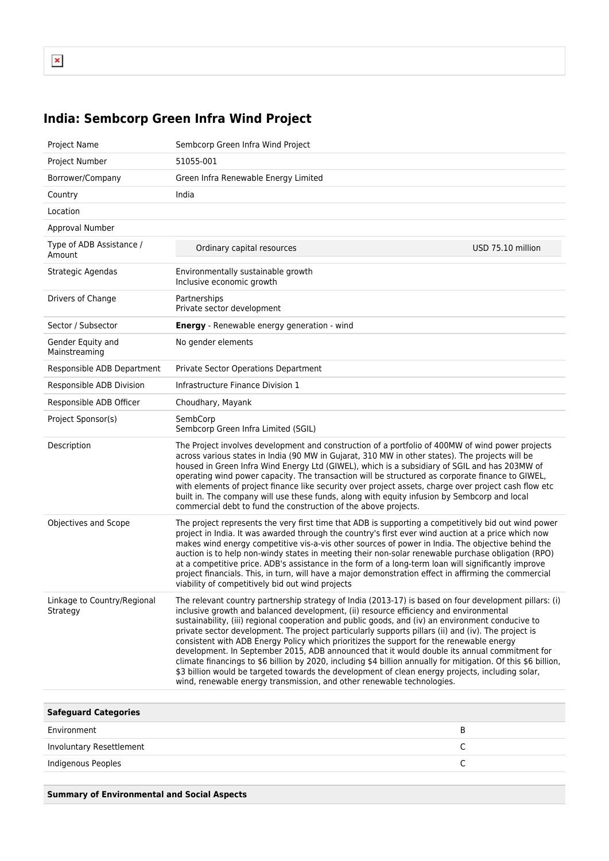## **India: Sembcorp Green Infra Wind Project**

| Project Name                            | Sembcorp Green Infra Wind Project                                                                                                                                                                                                                                                                                                                                                                                                                                                                                                                                                                                                                                                                                                                                                                                                                                                                       |                   |
|-----------------------------------------|---------------------------------------------------------------------------------------------------------------------------------------------------------------------------------------------------------------------------------------------------------------------------------------------------------------------------------------------------------------------------------------------------------------------------------------------------------------------------------------------------------------------------------------------------------------------------------------------------------------------------------------------------------------------------------------------------------------------------------------------------------------------------------------------------------------------------------------------------------------------------------------------------------|-------------------|
| Project Number                          | 51055-001                                                                                                                                                                                                                                                                                                                                                                                                                                                                                                                                                                                                                                                                                                                                                                                                                                                                                               |                   |
| Borrower/Company                        | Green Infra Renewable Energy Limited                                                                                                                                                                                                                                                                                                                                                                                                                                                                                                                                                                                                                                                                                                                                                                                                                                                                    |                   |
| Country                                 | India                                                                                                                                                                                                                                                                                                                                                                                                                                                                                                                                                                                                                                                                                                                                                                                                                                                                                                   |                   |
| Location                                |                                                                                                                                                                                                                                                                                                                                                                                                                                                                                                                                                                                                                                                                                                                                                                                                                                                                                                         |                   |
| Approval Number                         |                                                                                                                                                                                                                                                                                                                                                                                                                                                                                                                                                                                                                                                                                                                                                                                                                                                                                                         |                   |
| Type of ADB Assistance /<br>Amount      | Ordinary capital resources                                                                                                                                                                                                                                                                                                                                                                                                                                                                                                                                                                                                                                                                                                                                                                                                                                                                              | USD 75.10 million |
| Strategic Agendas                       | Environmentally sustainable growth<br>Inclusive economic growth                                                                                                                                                                                                                                                                                                                                                                                                                                                                                                                                                                                                                                                                                                                                                                                                                                         |                   |
| Drivers of Change                       | Partnerships<br>Private sector development                                                                                                                                                                                                                                                                                                                                                                                                                                                                                                                                                                                                                                                                                                                                                                                                                                                              |                   |
| Sector / Subsector                      | Energy - Renewable energy generation - wind                                                                                                                                                                                                                                                                                                                                                                                                                                                                                                                                                                                                                                                                                                                                                                                                                                                             |                   |
| Gender Equity and<br>Mainstreaming      | No gender elements                                                                                                                                                                                                                                                                                                                                                                                                                                                                                                                                                                                                                                                                                                                                                                                                                                                                                      |                   |
| Responsible ADB Department              | Private Sector Operations Department                                                                                                                                                                                                                                                                                                                                                                                                                                                                                                                                                                                                                                                                                                                                                                                                                                                                    |                   |
| Responsible ADB Division                | Infrastructure Finance Division 1                                                                                                                                                                                                                                                                                                                                                                                                                                                                                                                                                                                                                                                                                                                                                                                                                                                                       |                   |
| Responsible ADB Officer                 | Choudhary, Mayank                                                                                                                                                                                                                                                                                                                                                                                                                                                                                                                                                                                                                                                                                                                                                                                                                                                                                       |                   |
| Project Sponsor(s)                      | SembCorp<br>Sembcorp Green Infra Limited (SGIL)                                                                                                                                                                                                                                                                                                                                                                                                                                                                                                                                                                                                                                                                                                                                                                                                                                                         |                   |
| Description                             | The Project involves development and construction of a portfolio of 400MW of wind power projects<br>across various states in India (90 MW in Gujarat, 310 MW in other states). The projects will be<br>housed in Green Infra Wind Energy Ltd (GIWEL), which is a subsidiary of SGIL and has 203MW of<br>operating wind power capacity. The transaction will be structured as corporate finance to GIWEL,<br>with elements of project finance like security over project assets, charge over project cash flow etc<br>built in. The company will use these funds, along with equity infusion by Sembcorp and local<br>commercial debt to fund the construction of the above projects.                                                                                                                                                                                                                    |                   |
| Objectives and Scope                    | The project represents the very first time that ADB is supporting a competitively bid out wind power<br>project in India. It was awarded through the country's first ever wind auction at a price which now<br>makes wind energy competitive vis-a-vis other sources of power in India. The objective behind the<br>auction is to help non-windy states in meeting their non-solar renewable purchase obligation (RPO)<br>at a competitive price. ADB's assistance in the form of a long-term loan will significantly improve<br>project financials. This, in turn, will have a major demonstration effect in affirming the commercial<br>viability of competitively bid out wind projects                                                                                                                                                                                                              |                   |
| Linkage to Country/Regional<br>Strategy | The relevant country partnership strategy of India (2013-17) is based on four development pillars: (i)<br>inclusive growth and balanced development, (ii) resource efficiency and environmental<br>sustainability, (iii) regional cooperation and public goods, and (iv) an environment conducive to<br>private sector development. The project particularly supports pillars (ii) and (iv). The project is<br>consistent with ADB Energy Policy which prioritizes the support for the renewable energy<br>development. In September 2015, ADB announced that it would double its annual commitment for<br>climate financings to \$6 billion by 2020, including \$4 billion annually for mitigation. Of this \$6 billion,<br>\$3 billion would be targeted towards the development of clean energy projects, including solar,<br>wind, renewable energy transmission, and other renewable technologies. |                   |
| <b>Safeguard Categories</b>             |                                                                                                                                                                                                                                                                                                                                                                                                                                                                                                                                                                                                                                                                                                                                                                                                                                                                                                         |                   |
| Environment                             |                                                                                                                                                                                                                                                                                                                                                                                                                                                                                                                                                                                                                                                                                                                                                                                                                                                                                                         | В                 |
| Involuntary Resettlement                |                                                                                                                                                                                                                                                                                                                                                                                                                                                                                                                                                                                                                                                                                                                                                                                                                                                                                                         | C                 |

Indigenous Peoples C

**Summary of Environmental and Social Aspects**